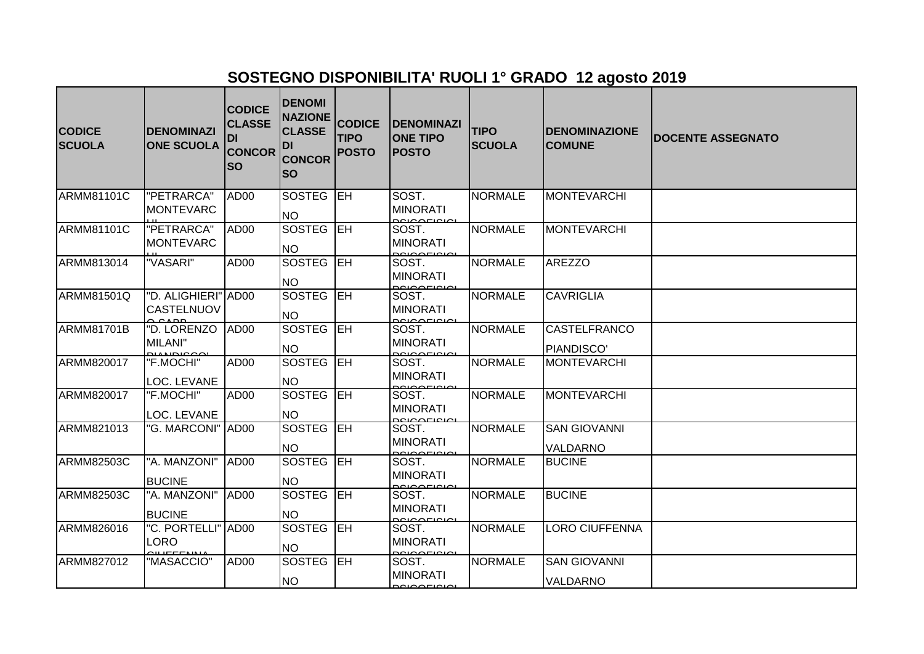## **SOSTEGNO DISPONIBILITA' RUOLI 1° GRADO 12 agosto 2019**

| <b>CODICE</b><br><b>SCUOLA</b> | <b>DENOMINAZI</b><br><b>ONE SCUOLA</b>   | <b>CODICE</b><br><b>CLASSE</b><br><b>DI</b><br><b>CONCOR</b><br><b>SO</b> | <b>DENOMI</b><br><b>NAZIONE</b><br><b>CLASSE</b><br>DI<br><b>CONCOR</b><br>lso | <b>CODICE</b><br><b>TIPO</b><br><b>POSTO</b> | <b>DENOMINAZI</b><br><b>ONE TIPO</b><br><b>POSTO</b> | <b>TIPO</b><br><b>SCUOLA</b> | <b>DENOMINAZIONE</b><br><b>COMUNE</b> | <b>DOCENTE ASSEGNATO</b> |
|--------------------------------|------------------------------------------|---------------------------------------------------------------------------|--------------------------------------------------------------------------------|----------------------------------------------|------------------------------------------------------|------------------------------|---------------------------------------|--------------------------|
| ARMM81101C                     | "PETRARCA"<br><b>MONTEVARC</b>           | AD <sub>00</sub>                                                          | SOSTEG EH<br><b>NO</b>                                                         |                                              | SOST.<br><b>MINORATI</b>                             | <b>NORMALE</b>               | <b>MONTEVARCHI</b>                    |                          |
| ARMM81101C                     | "PETRARCA"<br><b>MONTEVARC</b>           | AD <sub>00</sub>                                                          | SOSTEG EH<br><b>NO</b>                                                         |                                              | SOST.<br><b>MINORATI</b>                             | <b>NORMALE</b>               | <b>MONTEVARCHI</b>                    |                          |
| ARMM813014                     | "VASARI"                                 | AD <sub>00</sub>                                                          | SOSTEG <b>IEH</b><br><b>NO</b>                                                 |                                              | SOST.<br><b>MINORATI</b><br>POIOOFIOIOL              | <b>NORMALE</b>               | <b>AREZZO</b>                         |                          |
| ARMM81501Q                     | "D. ALIGHIERI" AD00<br><b>CASTELNUOV</b> |                                                                           | SOSTEG EH<br><b>NO</b>                                                         |                                              | SOST.<br><b>MINORATI</b>                             | <b>NORMALE</b>               | <b>CAVRIGLIA</b>                      |                          |
| ARMM81701B                     | "D. LORENZO<br>MILANI"                   | AD <sub>00</sub>                                                          | SOSTEG EH<br><b>NO</b>                                                         |                                              | SOST.<br><b>MINORATI</b>                             | <b>NORMALE</b>               | <b>CASTELFRANCO</b><br>PIANDISCO'     |                          |
| ARMM820017                     | "F.MOCHI"<br>LOC. LEVANE                 | AD <sub>00</sub>                                                          | SOSTEG EH<br><b>NO</b>                                                         |                                              | SOST.<br><b>MINORATI</b><br>20100510101              | <b>NORMALE</b>               | <b>MONTEVARCHI</b>                    |                          |
| ARMM820017                     | "F.MOCHI"<br>LOC. LEVANE                 | AD00                                                                      | SOSTEG EH<br><b>NO</b>                                                         |                                              | SOST.<br><b>MINORATI</b>                             | <b>NORMALE</b>               | <b>MONTEVARCHI</b>                    |                          |
| ARMM821013                     | "G. MARCONI"  AD00                       |                                                                           | <b>SOSTEG LEH</b><br><b>NO</b>                                                 |                                              | SOST.<br><b>MINORATI</b><br>0.000000                 | <b>NORMALE</b>               | <b>SAN GIOVANNI</b><br>VALDARNO       |                          |
| <b>ARMM82503C</b>              | "A. MANZONI"<br><b>BUCINE</b>            | AD <sub>00</sub>                                                          | SOSTEG EH<br><b>NO</b>                                                         |                                              | SOST.<br><b>MINORATI</b>                             | <b>NORMALE</b>               | <b>BUCINE</b>                         |                          |
| <b>ARMM82503C</b>              | "A. MANZONI"<br><b>BUCINE</b>            | AD <sub>00</sub>                                                          | SOSTEG <b>IEH</b><br><b>NO</b>                                                 |                                              | SOST.<br><b>MINORATI</b>                             | <b>NORMALE</b>               | <b>BUCINE</b>                         |                          |
| ARMM826016                     | "C. PORTELLI" AD00<br>LORO               |                                                                           | SOSTEG EH<br><b>NO</b>                                                         |                                              | SOST.<br><b>MINORATI</b>                             | <b>NORMALE</b>               | LORO CIUFFENNA                        |                          |
| ARMM827012                     | "MASACCIO"                               | AD <sub>00</sub>                                                          | SOSTEG EH<br><b>NO</b>                                                         |                                              | SOST.<br><b>MINORATI</b><br>20100510101              | <b>NORMALE</b>               | <b>SAN GIOVANNI</b><br>VALDARNO       |                          |